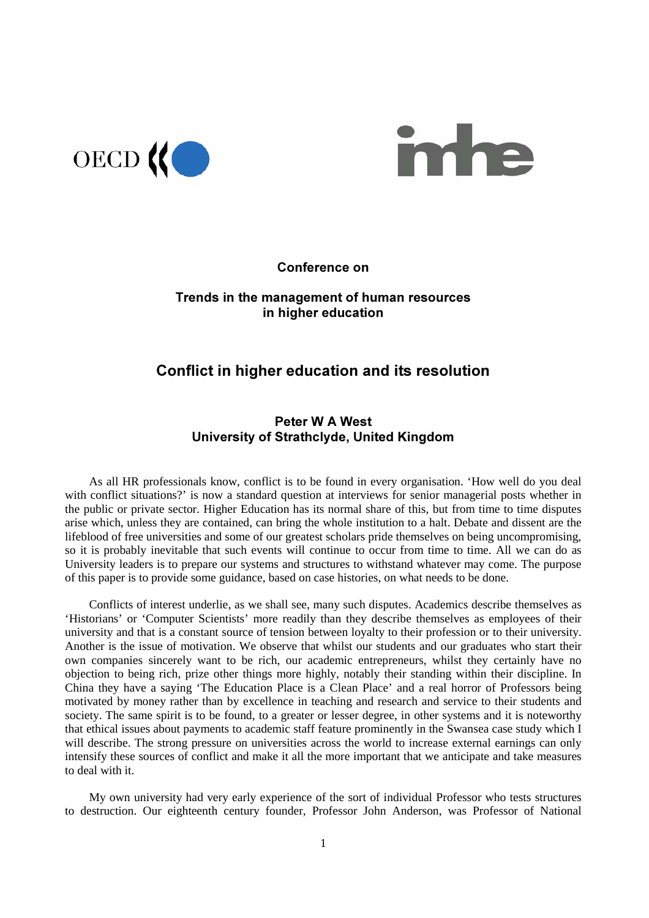



## **Conference on**

## Trends in the management of human resources in higher education

# Conflict in higher education and its resolution

## **Peter W A West** University of Strathclyde, United Kingdom

As all HR professionals know, conflict is to be found in every organisation. 'How well do you deal with conflict situations?' is now a standard question at interviews for senior managerial posts whether in the public or private sector. Higher Education has its normal share of this, but from time to time disputes arise which, unless they are contained, can bring the whole institution to a halt. Debate and dissent are the lifeblood of free universities and some of our greatest scholars pride themselves on being uncompromising, so it is probably inevitable that such events will continue to occur from time to time. All we can do as University leaders is to prepare our systems and structures to withstand whatever may come. The purpose of this paper is to provide some guidance, based on case histories, on what needs to be done.

Conflicts of interest underlie, as we shall see, many such disputes. Academics describe themselves as 'Historians' or 'Computer Scientists' more readily than they describe themselves as employees of their university and that is a constant source of tension between loyalty to their profession or to their university. Another is the issue of motivation. We observe that whilst our students and our graduates who start their own companies sincerely want to be rich, our academic entrepreneurs, whilst they certainly have no objection to being rich, prize other things more highly, notably their standing within their discipline. In China they have a saying 'The Education Place is a Clean Place' and a real horror of Professors being motivated by money rather than by excellence in teaching and research and service to their students and society. The same spirit is to be found, to a greater or lesser degree, in other systems and it is noteworthy that ethical issues about payments to academic staff feature prominently in the Swansea case study which I will describe. The strong pressure on universities across the world to increase external earnings can only intensify these sources of conflict and make it all the more important that we anticipate and take measures to deal with it.

My own university had very early experience of the sort of individual Professor who tests structures to destruction. Our eighteenth century founder, Professor John Anderson, was Professor of National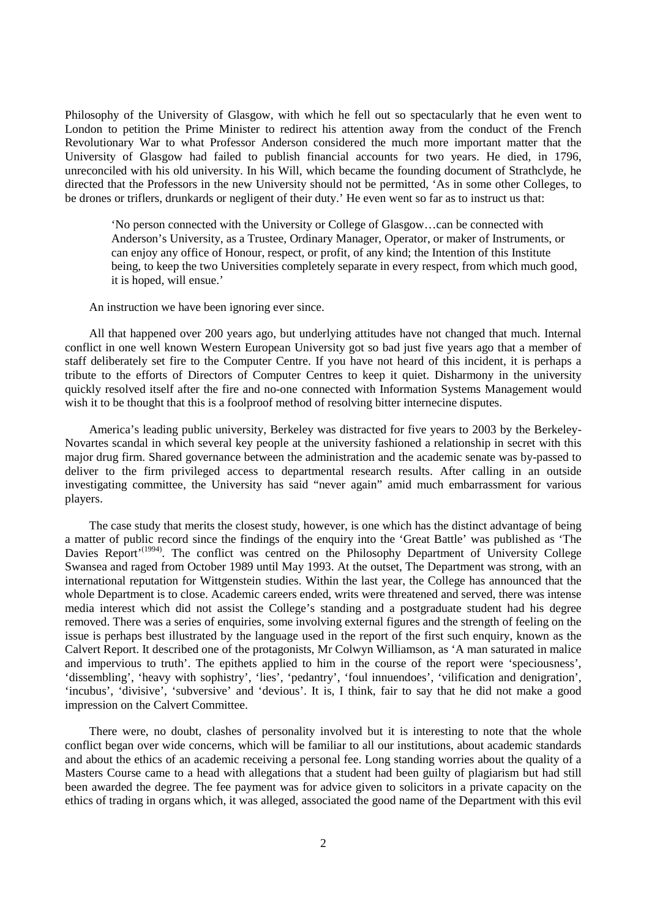Philosophy of the University of Glasgow, with which he fell out so spectacularly that he even went to London to petition the Prime Minister to redirect his attention away from the conduct of the French Revolutionary War to what Professor Anderson considered the much more important matter that the University of Glasgow had failed to publish financial accounts for two years. He died, in 1796, unreconciled with his old university. In his Will, which became the founding document of Strathclyde, he directed that the Professors in the new University should not be permitted, 'As in some other Colleges, to be drones or triflers, drunkards or negligent of their duty.' He even went so far as to instruct us that:

'No person connected with the University or College of Glasgow…can be connected with Anderson's University, as a Trustee, Ordinary Manager, Operator, or maker of Instruments, or can enjoy any office of Honour, respect, or profit, of any kind; the Intention of this Institute being, to keep the two Universities completely separate in every respect, from which much good, it is hoped, will ensue.'

An instruction we have been ignoring ever since.

All that happened over 200 years ago, but underlying attitudes have not changed that much. Internal conflict in one well known Western European University got so bad just five years ago that a member of staff deliberately set fire to the Computer Centre. If you have not heard of this incident, it is perhaps a tribute to the efforts of Directors of Computer Centres to keep it quiet. Disharmony in the university quickly resolved itself after the fire and no-one connected with Information Systems Management would wish it to be thought that this is a foolproof method of resolving bitter internecine disputes.

America's leading public university, Berkeley was distracted for five years to 2003 by the Berkeley-Novartes scandal in which several key people at the university fashioned a relationship in secret with this major drug firm. Shared governance between the administration and the academic senate was by-passed to deliver to the firm privileged access to departmental research results. After calling in an outside investigating committee, the University has said "never again" amid much embarrassment for various players.

The case study that merits the closest study, however, is one which has the distinct advantage of being a matter of public record since the findings of the enquiry into the 'Great Battle' was published as 'The Davies Report<sup>,(1994)</sup>. The conflict was centred on the Philosophy Department of University College Swansea and raged from October 1989 until May 1993. At the outset, The Department was strong, with an international reputation for Wittgenstein studies. Within the last year, the College has announced that the whole Department is to close. Academic careers ended, writs were threatened and served, there was intense media interest which did not assist the College's standing and a postgraduate student had his degree removed. There was a series of enquiries, some involving external figures and the strength of feeling on the issue is perhaps best illustrated by the language used in the report of the first such enquiry, known as the Calvert Report. It described one of the protagonists, Mr Colwyn Williamson, as 'A man saturated in malice and impervious to truth'. The epithets applied to him in the course of the report were 'speciousness', 'dissembling', 'heavy with sophistry', 'lies', 'pedantry', 'foul innuendoes', 'vilification and denigration', 'incubus', 'divisive', 'subversive' and 'devious'. It is, I think, fair to say that he did not make a good impression on the Calvert Committee.

There were, no doubt, clashes of personality involved but it is interesting to note that the whole conflict began over wide concerns, which will be familiar to all our institutions, about academic standards and about the ethics of an academic receiving a personal fee. Long standing worries about the quality of a Masters Course came to a head with allegations that a student had been guilty of plagiarism but had still been awarded the degree. The fee payment was for advice given to solicitors in a private capacity on the ethics of trading in organs which, it was alleged, associated the good name of the Department with this evil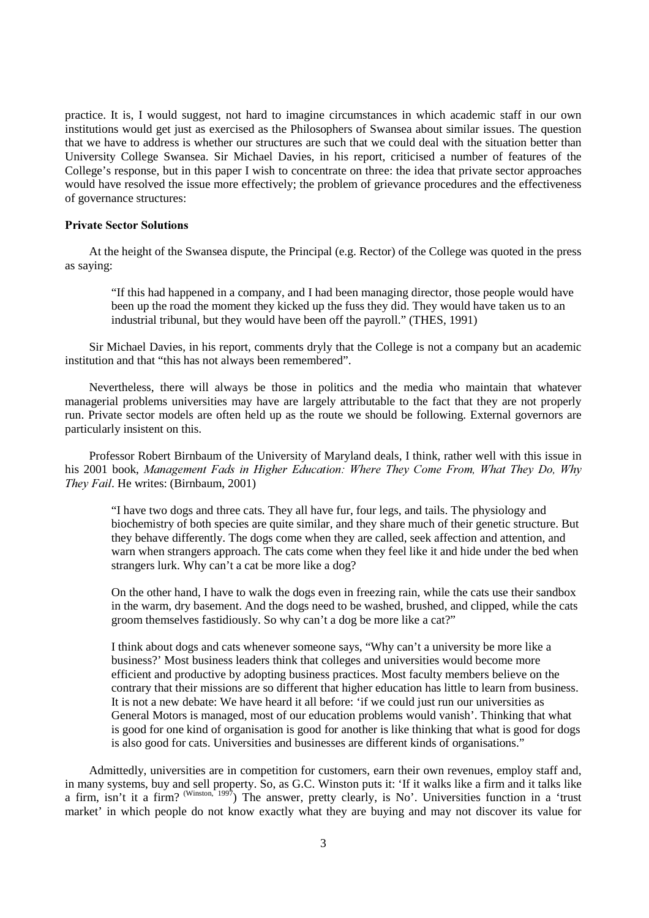practice. It is, I would suggest, not hard to imagine circumstances in which academic staff in our own institutions would get just as exercised as the Philosophers of Swansea about similar issues. The question that we have to address is whether our structures are such that we could deal with the situation better than University College Swansea. Sir Michael Davies, in his report, criticised a number of features of the College's response, but in this paper I wish to concentrate on three: the idea that private sector approaches would have resolved the issue more effectively; the problem of grievance procedures and the effectiveness of governance structures:

#### **Private Sector Solutions**

At the height of the Swansea dispute, the Principal (e.g. Rector) of the College was quoted in the press as saying:

"If this had happened in a company, and I had been managing director, those people would have been up the road the moment they kicked up the fuss they did. They would have taken us to an industrial tribunal, but they would have been off the payroll." (THES, 1991)

Sir Michael Davies, in his report, comments dryly that the College is not a company but an academic institution and that "this has not always been remembered".

Nevertheless, there will always be those in politics and the media who maintain that whatever managerial problems universities may have are largely attributable to the fact that they are not properly run. Private sector models are often held up as the route we should be following. External governors are particularly insistent on this.

Professor Robert Birnbaum of the University of Maryland deals, I think, rather well with this issue in his 2001 book, Management Fads in Higher Education: Where They Come From, What They Do, Why *They Fail.* He writes: (Birnbaum, 2001)

"I have two dogs and three cats. They all have fur, four legs, and tails. The physiology and biochemistry of both species are quite similar, and they share much of their genetic structure. But they behave differently. The dogs come when they are called, seek affection and attention, and warn when strangers approach. The cats come when they feel like it and hide under the bed when strangers lurk. Why can't a cat be more like a dog?

On the other hand, I have to walk the dogs even in freezing rain, while the cats use their sandbox in the warm, dry basement. And the dogs need to be washed, brushed, and clipped, while the cats groom themselves fastidiously. So why can't a dog be more like a cat?"

I think about dogs and cats whenever someone says, "Why can't a university be more like a business?' Most business leaders think that colleges and universities would become more efficient and productive by adopting business practices. Most faculty members believe on the contrary that their missions are so different that higher education has little to learn from business. It is not a new debate: We have heard it all before: 'if we could just run our universities as General Motors is managed, most of our education problems would vanish'. Thinking that what is good for one kind of organisation is good for another is like thinking that what is good for dogs is also good for cats. Universities and businesses are different kinds of organisations."

Admittedly, universities are in competition for customers, earn their own revenues, employ staff and, in many systems, buy and sell property. So, as G.C. Winston puts it: 'If it walks like a firm and it talks like a firm, isn't it a firm?  $^{(Winston, 1997)}$  The answer, pretty clearly, is No'. Universities function in a 'trust market' in which people do not know exactly what they are buying and may not discover its value for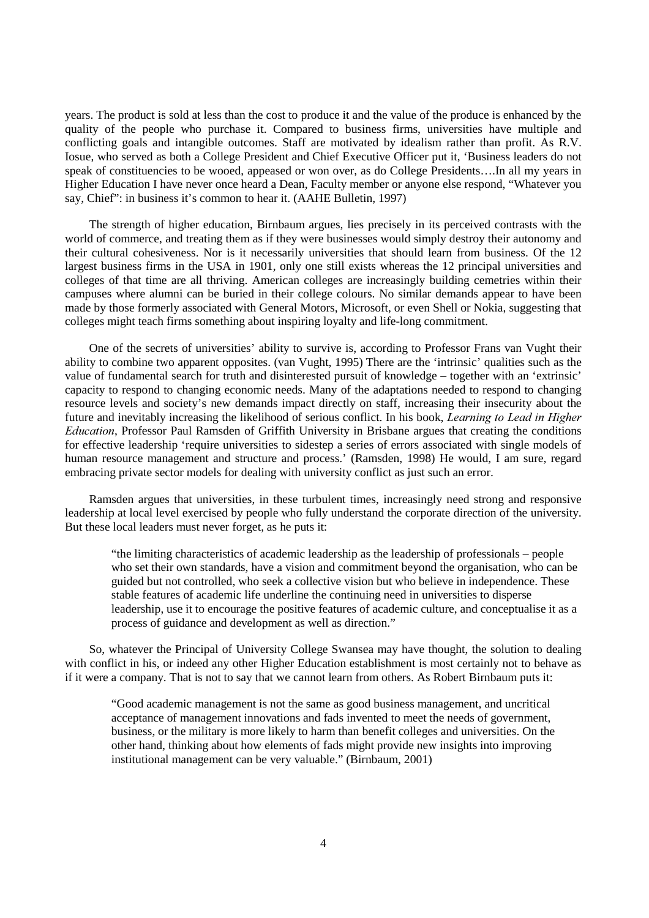years. The product is sold at less than the cost to produce it and the value of the produce is enhanced by the quality of the people who purchase it. Compared to business firms, universities have multiple and conflicting goals and intangible outcomes. Staff are motivated by idealism rather than profit. As R.V. Iosue, who served as both a College President and Chief Executive Officer put it, 'Business leaders do not speak of constituencies to be wooed, appeased or won over, as do College Presidents….In all my years in Higher Education I have never once heard a Dean, Faculty member or anyone else respond, "Whatever you say, Chief": in business it's common to hear it. (AAHE Bulletin, 1997)

The strength of higher education, Birnbaum argues, lies precisely in its perceived contrasts with the world of commerce, and treating them as if they were businesses would simply destroy their autonomy and their cultural cohesiveness. Nor is it necessarily universities that should learn from business. Of the 12 largest business firms in the USA in 1901, only one still exists whereas the 12 principal universities and colleges of that time are all thriving. American colleges are increasingly building cemetries within their campuses where alumni can be buried in their college colours. No similar demands appear to have been made by those formerly associated with General Motors, Microsoft, or even Shell or Nokia, suggesting that colleges might teach firms something about inspiring loyalty and life-long commitment.

One of the secrets of universities' ability to survive is, according to Professor Frans van Vught their ability to combine two apparent opposites. (van Vught, 1995) There are the 'intrinsic' qualities such as the value of fundamental search for truth and disinterested pursuit of knowledge – together with an 'extrinsic' capacity to respond to changing economic needs. Many of the adaptations needed to respond to changing resource levels and society's new demands impact directly on staff, increasing their insecurity about the future and inevitably increasing the likelihood of serious conflict. In his book, *Learning to Lead in Higher Education*, Professor Paul Ramsden of Griffith University in Brisbane argues that creating the conditions for effective leadership 'require universities to sidestep a series of errors associated with single models of human resource management and structure and process.' (Ramsden, 1998) He would, I am sure, regard embracing private sector models for dealing with university conflict as just such an error.

Ramsden argues that universities, in these turbulent times, increasingly need strong and responsive leadership at local level exercised by people who fully understand the corporate direction of the university. But these local leaders must never forget, as he puts it:

"the limiting characteristics of academic leadership as the leadership of professionals – people who set their own standards, have a vision and commitment beyond the organisation, who can be guided but not controlled, who seek a collective vision but who believe in independence. These stable features of academic life underline the continuing need in universities to disperse leadership, use it to encourage the positive features of academic culture, and conceptualise it as a process of guidance and development as well as direction."

So, whatever the Principal of University College Swansea may have thought, the solution to dealing with conflict in his, or indeed any other Higher Education establishment is most certainly not to behave as if it were a company. That is not to say that we cannot learn from others. As Robert Birnbaum puts it:

"Good academic management is not the same as good business management, and uncritical acceptance of management innovations and fads invented to meet the needs of government, business, or the military is more likely to harm than benefit colleges and universities. On the other hand, thinking about how elements of fads might provide new insights into improving institutional management can be very valuable." (Birnbaum, 2001)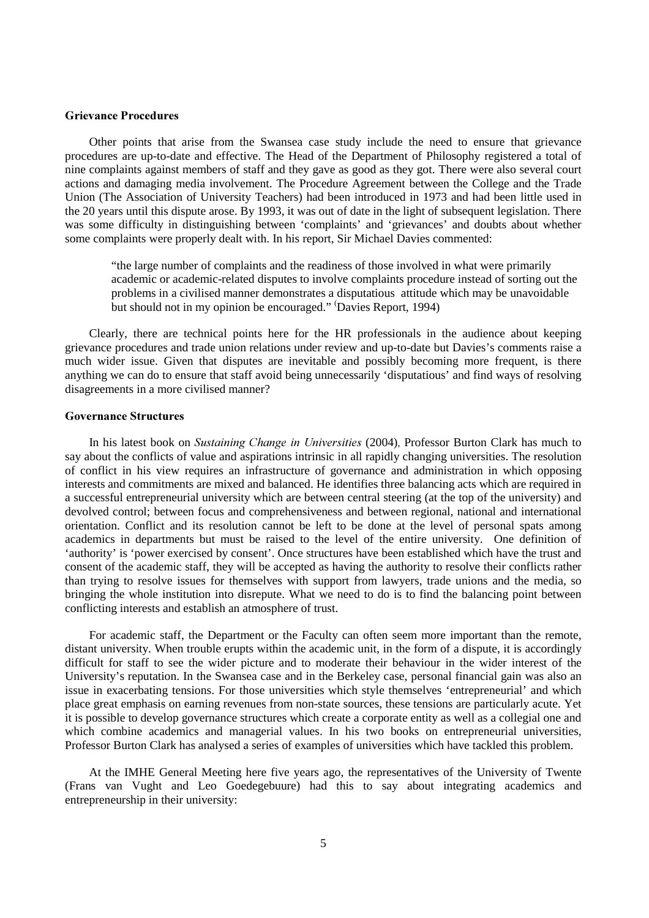#### **Grievance Procedures**

Other points that arise from the Swansea case study include the need to ensure that grievance procedures are up-to-date and effective. The Head of the Department of Philosophy registered a total of nine complaints against members of staff and they gave as good as they got. There were also several court actions and damaging media involvement. The Procedure Agreement between the College and the Trade Union (The Association of University Teachers) had been introduced in 1973 and had been little used in the 20 years until this dispute arose. By 1993, it was out of date in the light of subsequent legislation. There was some difficulty in distinguishing between 'complaints' and 'grievances' and doubts about whether some complaints were properly dealt with. In his report, Sir Michael Davies commented:

"the large number of complaints and the readiness of those involved in what were primarily academic or academic-related disputes to involve complaints procedure instead of sorting out the problems in a civilised manner demonstrates a disputatious attitude which may be unavoidable but should not in my opinion be encouraged." ( Davies Report, 1994)

Clearly, there are technical points here for the HR professionals in the audience about keeping grievance procedures and trade union relations under review and up-to-date but Davies's comments raise a much wider issue. Given that disputes are inevitable and possibly becoming more frequent, is there anything we can do to ensure that staff avoid being unnecessarily 'disputatious' and find ways of resolving disagreements in a more civilised manner?

#### **Governance Structures**

In his latest book on Sustaining Change in Universities (2004), Professor Burton Clark has much to say about the conflicts of value and aspirations intrinsic in all rapidly changing universities. The resolution of conflict in his view requires an infrastructure of governance and administration in which opposing interests and commitments are mixed and balanced. He identifies three balancing acts which are required in a successful entrepreneurial university which are between central steering (at the top of the university) and devolved control; between focus and comprehensiveness and between regional, national and international orientation. Conflict and its resolution cannot be left to be done at the level of personal spats among academics in departments but must be raised to the level of the entire university. One definition of 'authority' is 'power exercised by consent'. Once structures have been established which have the trust and consent of the academic staff, they will be accepted as having the authority to resolve their conflicts rather than trying to resolve issues for themselves with support from lawyers, trade unions and the media, so bringing the whole institution into disrepute. What we need to do is to find the balancing point between conflicting interests and establish an atmosphere of trust.

For academic staff, the Department or the Faculty can often seem more important than the remote, distant university. When trouble erupts within the academic unit, in the form of a dispute, it is accordingly difficult for staff to see the wider picture and to moderate their behaviour in the wider interest of the University's reputation. In the Swansea case and in the Berkeley case, personal financial gain was also an issue in exacerbating tensions. For those universities which style themselves 'entrepreneurial' and which place great emphasis on earning revenues from non-state sources, these tensions are particularly acute. Yet it is possible to develop governance structures which create a corporate entity as well as a collegial one and which combine academics and managerial values. In his two books on entrepreneurial universities, Professor Burton Clark has analysed a series of examples of universities which have tackled this problem.

At the IMHE General Meeting here five years ago, the representatives of the University of Twente (Frans van Vught and Leo Goedegebuure) had this to say about integrating academics and entrepreneurship in their university: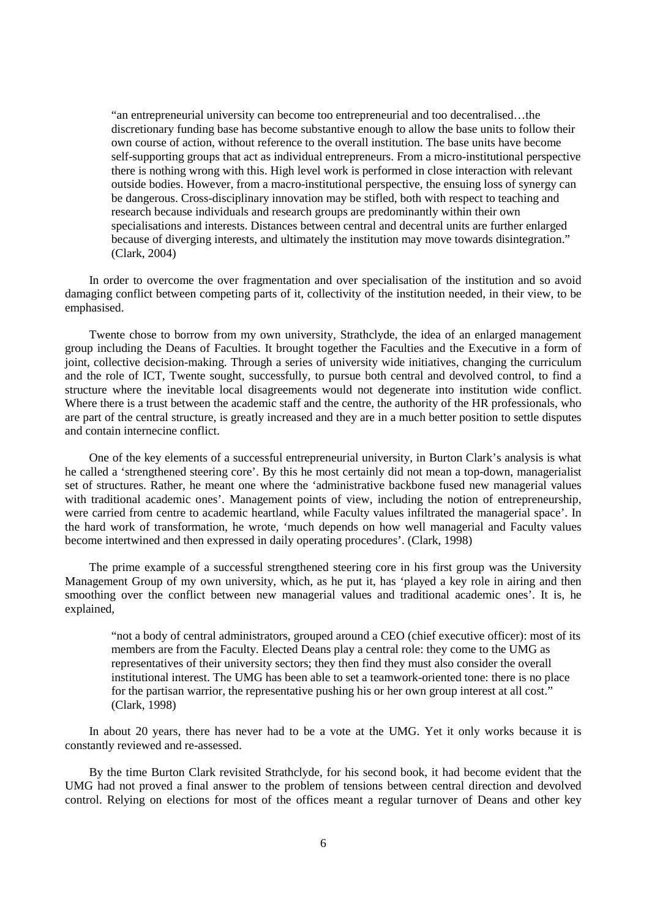"an entrepreneurial university can become too entrepreneurial and too decentralised…the discretionary funding base has become substantive enough to allow the base units to follow their own course of action, without reference to the overall institution. The base units have become self-supporting groups that act as individual entrepreneurs. From a micro-institutional perspective there is nothing wrong with this. High level work is performed in close interaction with relevant outside bodies. However, from a macro-institutional perspective, the ensuing loss of synergy can be dangerous. Cross-disciplinary innovation may be stifled, both with respect to teaching and research because individuals and research groups are predominantly within their own specialisations and interests. Distances between central and decentral units are further enlarged because of diverging interests, and ultimately the institution may move towards disintegration." (Clark, 2004)

In order to overcome the over fragmentation and over specialisation of the institution and so avoid damaging conflict between competing parts of it, collectivity of the institution needed, in their view, to be emphasised.

Twente chose to borrow from my own university, Strathclyde, the idea of an enlarged management group including the Deans of Faculties. It brought together the Faculties and the Executive in a form of joint, collective decision-making. Through a series of university wide initiatives, changing the curriculum and the role of ICT, Twente sought, successfully, to pursue both central and devolved control, to find a structure where the inevitable local disagreements would not degenerate into institution wide conflict. Where there is a trust between the academic staff and the centre, the authority of the HR professionals, who are part of the central structure, is greatly increased and they are in a much better position to settle disputes and contain internecine conflict.

One of the key elements of a successful entrepreneurial university, in Burton Clark's analysis is what he called a 'strengthened steering core'. By this he most certainly did not mean a top-down, managerialist set of structures. Rather, he meant one where the 'administrative backbone fused new managerial values with traditional academic ones'. Management points of view, including the notion of entrepreneurship, were carried from centre to academic heartland, while Faculty values infiltrated the managerial space'. In the hard work of transformation, he wrote, 'much depends on how well managerial and Faculty values become intertwined and then expressed in daily operating procedures'. (Clark, 1998)

The prime example of a successful strengthened steering core in his first group was the University Management Group of my own university, which, as he put it, has 'played a key role in airing and then smoothing over the conflict between new managerial values and traditional academic ones'. It is, he explained,

"not a body of central administrators, grouped around a CEO (chief executive officer): most of its members are from the Faculty. Elected Deans play a central role: they come to the UMG as representatives of their university sectors; they then find they must also consider the overall institutional interest. The UMG has been able to set a teamwork-oriented tone: there is no place for the partisan warrior, the representative pushing his or her own group interest at all cost." (Clark, 1998)

In about 20 years, there has never had to be a vote at the UMG. Yet it only works because it is constantly reviewed and re-assessed.

By the time Burton Clark revisited Strathclyde, for his second book, it had become evident that the UMG had not proved a final answer to the problem of tensions between central direction and devolved control. Relying on elections for most of the offices meant a regular turnover of Deans and other key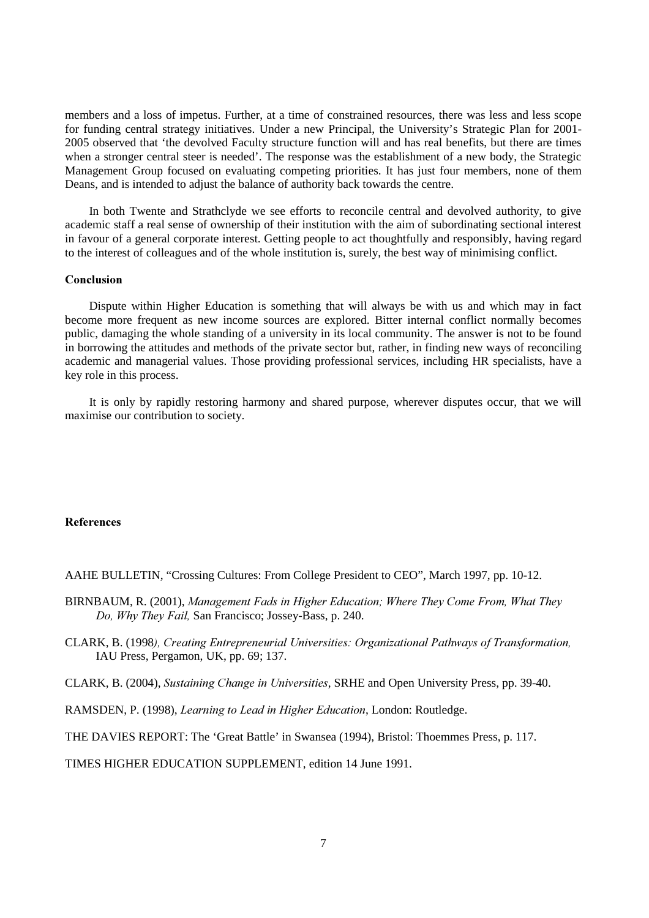members and a loss of impetus. Further, at a time of constrained resources, there was less and less scope for funding central strategy initiatives. Under a new Principal, the University's Strategic Plan for 2001- 2005 observed that 'the devolved Faculty structure function will and has real benefits, but there are times when a stronger central steer is needed'. The response was the establishment of a new body, the Strategic Management Group focused on evaluating competing priorities. It has just four members, none of them Deans, and is intended to adjust the balance of authority back towards the centre.

In both Twente and Strathclyde we see efforts to reconcile central and devolved authority, to give academic staff a real sense of ownership of their institution with the aim of subordinating sectional interest in favour of a general corporate interest. Getting people to act thoughtfully and responsibly, having regard to the interest of colleagues and of the whole institution is, surely, the best way of minimising conflict.

#### Conclusion

Dispute within Higher Education is something that will always be with us and which may in fact become more frequent as new income sources are explored. Bitter internal conflict normally becomes public, damaging the whole standing of a university in its local community. The answer is not to be found in borrowing the attitudes and methods of the private sector but, rather, in finding new ways of reconciling academic and managerial values. Those providing professional services, including HR specialists, have a key role in this process.

It is only by rapidly restoring harmony and shared purpose, wherever disputes occur, that we will maximise our contribution to society.

### References

AAHE BULLETIN, "Crossing Cultures: From College President to CEO", March 1997, pp. 10-12.

- BIRNBAUM, R. (2001), Management Fads in Higher Education; Where They Come From, What They Do, Why They Fail, San Francisco; Jossey-Bass, p. 240.
- CLARK, B. (1998), Creating Entrepreneurial Universities: Organizational Pathways of Transformation, IAU Press, Pergamon, UK, pp. 69; 137.
- CLARK, B. (2004), Sustaining Change in Universities, SRHE and Open University Press, pp. 39-40.

RAMSDEN, P. (1998), Learning to Lead in Higher Education, London: Routledge.

THE DAVIES REPORT: The 'Great Battle' in Swansea (1994), Bristol: Thoemmes Press, p. 117.

TIMES HIGHER EDUCATION SUPPLEMENT, edition 14 June 1991.